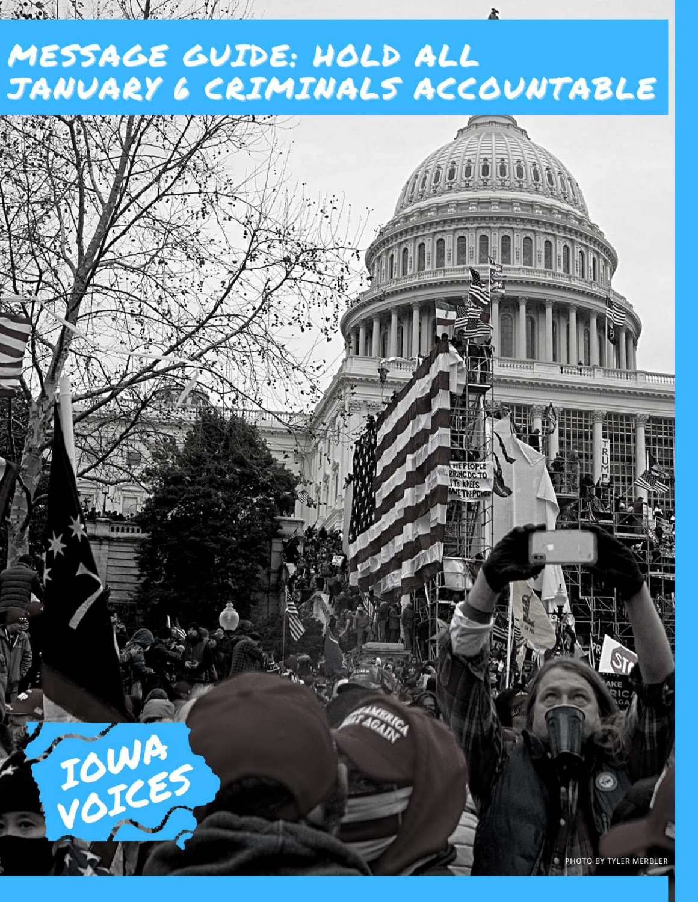### MESSAGE GUIDE: HOLD ALL JANUARY 6 CRIMINALS ACCOUNTABLE

Suite & the South of the

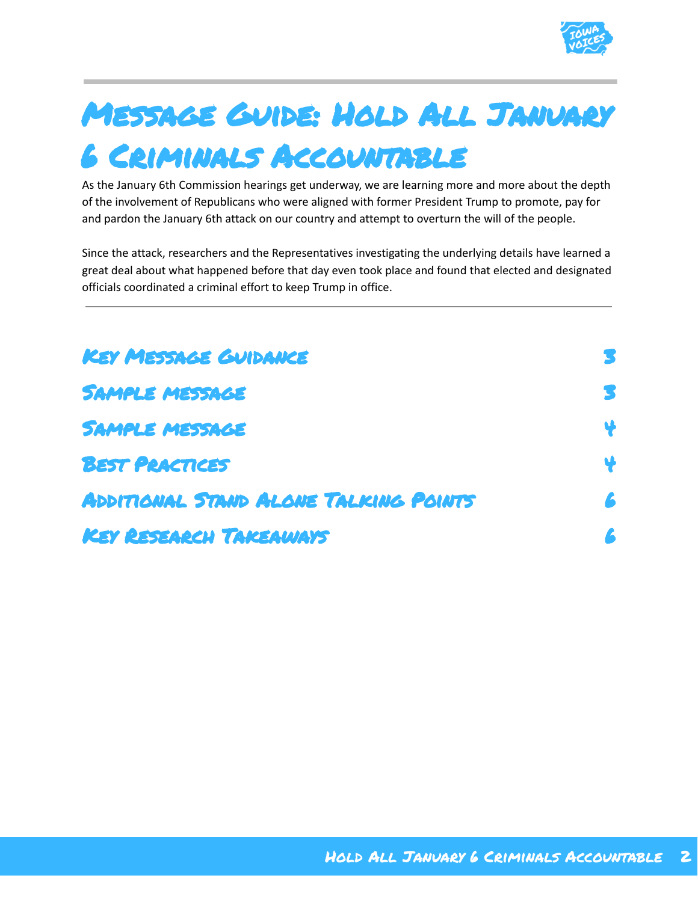

# Message Guide: Hold All January

#### 6 Criminals Accountable

As the January 6th Commission hearings get underway, we are learning more and more about the depth of the involvement of Republicans who were aligned with former President Trump to promote, pay for and pardon the January 6th attack on our country and attempt to overturn the will of the people.

Since the attack, researchers and the Representatives investigating the underlying details have learned a great deal about what happened before that day even took place and found that elected and designated officials coordinated a criminal effort to keep Trump in office.

| <b>KEY MESSAGE GUIDANCE</b>           |   |
|---------------------------------------|---|
| <b>SAMPLE MESSAGE</b>                 | S |
| <b>SAMPLE MESSAGE</b>                 |   |
| <b>BEST PRACTICES</b>                 |   |
| ADDITIONAL STAND ALONE TALKING POINTS | £ |
| KEY RESEARCH TAKEAWAYS                |   |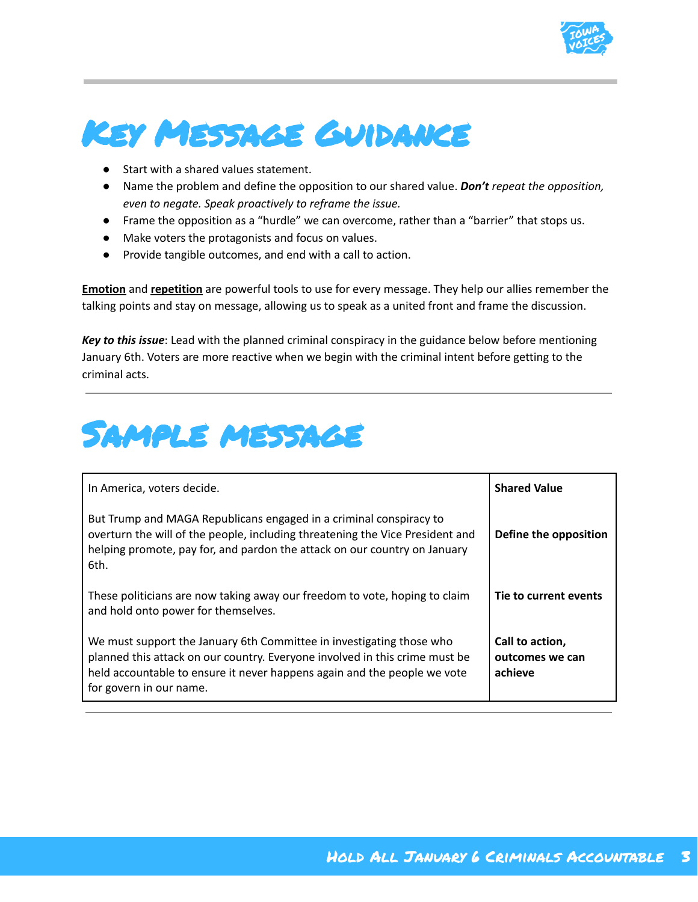

#### <span id="page-2-0"></span>Key Message Guidance

- Start with a shared values statement.
- Name the problem and define the opposition to our shared value. *Don't repeat the opposition, even to negate. Speak proactively to reframe the issue.*
- Frame the opposition as a "hurdle" we can overcome, rather than a "barrier" that stops us.
- Make voters the protagonists and focus on values.
- Provide tangible outcomes, and end with a call to action.

**Emotion** and **repetition** are powerful tools to use for every message. They help our allies remember the talking points and stay on message, allowing us to speak as a united front and frame the discussion.

*Key to this issue*: Lead with the planned criminal conspiracy in the guidance below before mentioning January 6th. Voters are more reactive when we begin with the criminal intent before getting to the criminal acts.

#### <span id="page-2-1"></span>Sample message

| In America, voters decide.                                                                                                                                                                                                                                 | <b>Shared Value</b>                           |
|------------------------------------------------------------------------------------------------------------------------------------------------------------------------------------------------------------------------------------------------------------|-----------------------------------------------|
| But Trump and MAGA Republicans engaged in a criminal conspiracy to<br>overturn the will of the people, including threatening the Vice President and<br>helping promote, pay for, and pardon the attack on our country on January<br>6th.                   | Define the opposition                         |
| These politicians are now taking away our freedom to vote, hoping to claim<br>and hold onto power for themselves.                                                                                                                                          | Tie to current events                         |
| We must support the January 6th Committee in investigating those who<br>planned this attack on our country. Everyone involved in this crime must be<br>held accountable to ensure it never happens again and the people we vote<br>for govern in our name. | Call to action,<br>outcomes we can<br>achieve |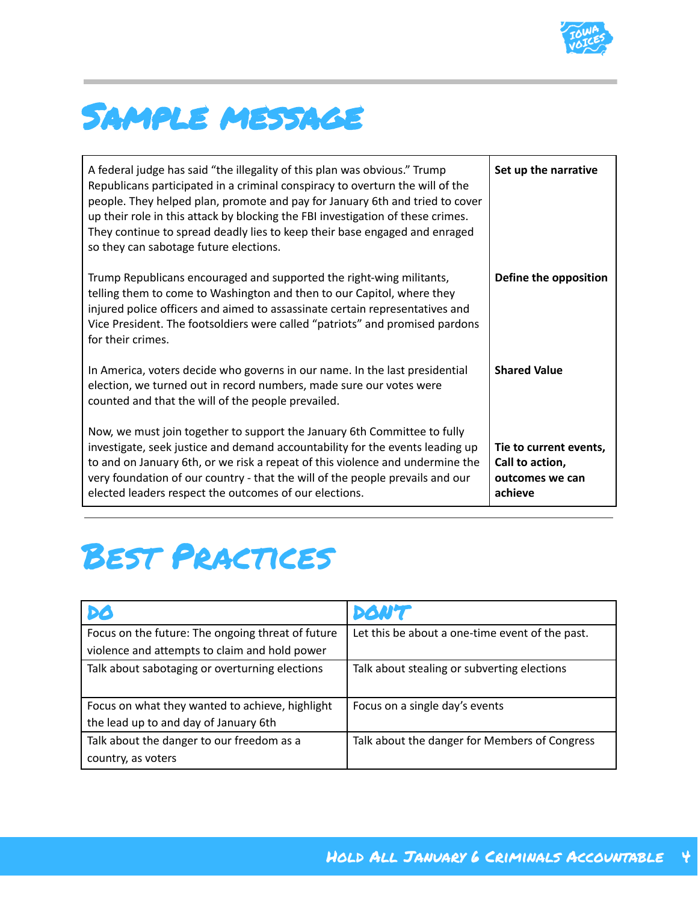

#### <span id="page-3-0"></span>Sample message

| A federal judge has said "the illegality of this plan was obvious." Trump<br>Republicans participated in a criminal conspiracy to overturn the will of the<br>people. They helped plan, promote and pay for January 6th and tried to cover<br>up their role in this attack by blocking the FBI investigation of these crimes.<br>They continue to spread deadly lies to keep their base engaged and enraged<br>so they can sabotage future elections. | Set up the narrative                                                    |
|-------------------------------------------------------------------------------------------------------------------------------------------------------------------------------------------------------------------------------------------------------------------------------------------------------------------------------------------------------------------------------------------------------------------------------------------------------|-------------------------------------------------------------------------|
| Trump Republicans encouraged and supported the right-wing militants,<br>telling them to come to Washington and then to our Capitol, where they<br>injured police officers and aimed to assassinate certain representatives and<br>Vice President. The footsoldiers were called "patriots" and promised pardons<br>for their crimes.                                                                                                                   | Define the opposition                                                   |
| In America, voters decide who governs in our name. In the last presidential<br>election, we turned out in record numbers, made sure our votes were<br>counted and that the will of the people prevailed.                                                                                                                                                                                                                                              | <b>Shared Value</b>                                                     |
| Now, we must join together to support the January 6th Committee to fully<br>investigate, seek justice and demand accountability for the events leading up<br>to and on January 6th, or we risk a repeat of this violence and undermine the<br>very foundation of our country - that the will of the people prevails and our<br>elected leaders respect the outcomes of our elections.                                                                 | Tie to current events,<br>Call to action,<br>outcomes we can<br>achieve |

#### <span id="page-3-1"></span>Best Practices

| DØ                                                | DONT                                            |
|---------------------------------------------------|-------------------------------------------------|
| Focus on the future: The ongoing threat of future | Let this be about a one-time event of the past. |
| violence and attempts to claim and hold power     |                                                 |
| Talk about sabotaging or overturning elections    | Talk about stealing or subverting elections     |
|                                                   |                                                 |
| Focus on what they wanted to achieve, highlight   | Focus on a single day's events                  |
| the lead up to and day of January 6th             |                                                 |
| Talk about the danger to our freedom as a         | Talk about the danger for Members of Congress   |
| country, as voters                                |                                                 |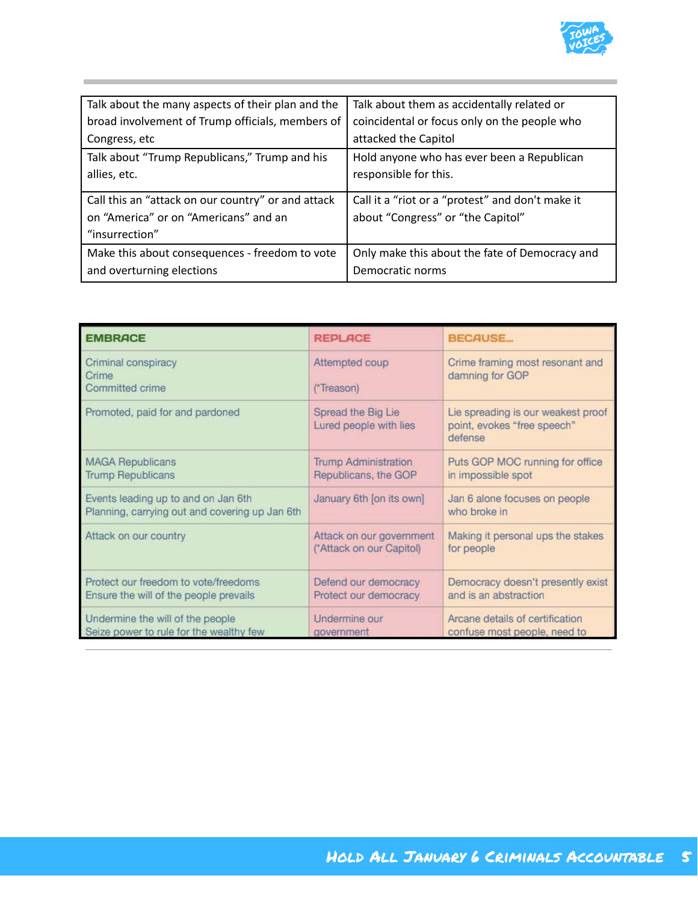

| Talk about the many aspects of their plan and the  | Talk about them as accidentally related or       |
|----------------------------------------------------|--------------------------------------------------|
| broad involvement of Trump officials, members of   | coincidental or focus only on the people who     |
| Congress, etc                                      | attacked the Capitol                             |
| Talk about "Trump Republicans," Trump and his      | Hold anyone who has ever been a Republican       |
| allies, etc.                                       | responsible for this.                            |
|                                                    |                                                  |
| Call this an "attack on our country" or and attack | Call it a "riot or a "protest" and don't make it |
| on "America" or on "Americans" and an              | about "Congress" or "the Capitol"                |
| "insurrection"                                     |                                                  |
| Make this about consequences - freedom to vote     | Only make this about the fate of Democracy and   |
| and overturning elections                          | Democratic norms                                 |

| <b>EMBRACE</b>                                                                        | <b>REPLACE</b>                                       | <b>BECAUSE</b>                                                               |
|---------------------------------------------------------------------------------------|------------------------------------------------------|------------------------------------------------------------------------------|
| Criminal conspiracy<br>Crime<br>Committed crime                                       | Attempted coup<br>(*Treason)                         | Crime framing most resonant and<br>damning for GOP                           |
| Promoted, paid for and pardoned                                                       | Spread the Big Lie<br>Lured people with lies         | Lie spreading is our weakest proof<br>point, evokes "free speech"<br>defense |
| <b>MAGA Republicans</b><br><b>Trump Republicans</b>                                   | <b>Trump Administration</b><br>Republicans, the GOP  | Puts GOP MOC running for office<br>in impossible spot                        |
| Events leading up to and on Jan 6th<br>Planning, carrying out and covering up Jan 6th | January 6th [on its own]                             | Jan 6 alone focuses on people<br>who broke in                                |
| Attack on our country                                                                 | Attack on our government<br>("Attack on our Capitol) | Making it personal ups the stakes<br>for people                              |
| Protect our freedom to vote/freedoms<br>Ensure the will of the people prevails        | Defend our democracy<br>Protect our democracy        | Democracy doesn't presently exist<br>and is an abstraction                   |
| Undermine the will of the people<br>Seize power to rule for the wealthy few           | Undermine our<br>aovernment                          | Arcane details of certification<br>confuse most people, need to              |